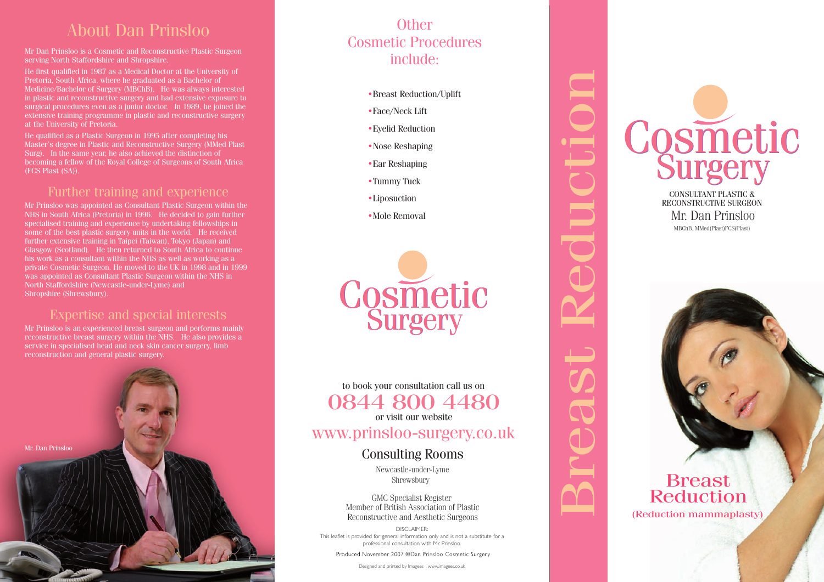### About Dan Prinsloo

Mr Dan Prinsloo is a Cosmetic and Reconstructive Plastic Surgeon serving North Staffordshire and Shropshire.

He first qualified in 1987 as a Medical Doctor at the University of Medicine/Bachelor of Surgery (MBChB). He was always interested in plastic and reconstructive surgery and had extensive exposure to surgical procedures even as a junior doctor. In 1989, he joined the extensive training programme in plastic and reconstructive surgery

He qualified as a Plastic Surgeon in 1995 after completing his Master's degree in Plastic and Reconstructive Surgery (MMed Plast Surg). In the same year, he also achieved the distinction of becoming a fellow of the Royal College of Surgeons of South Africa

#### Further training and experience

consumant whem the twist as we<br>tic Surgeon. He moved to the I<br>as Consultant Plastic Surgeon<br>Ishire (Newcastle-under-Lyme)<br>nrewsbury). Ethen returned to South Africa<br>
within the NHS as well as wor<br>
In He moved to the UK in 1998<br>
Iltant Plastic Surgeon within the Mr Prinsloo was appointed as Consultant Plastic Surgeon within the NHS in South Africa (Pretoria) in 1996. He decided to gain further specialised training and experience by undertaking fellowships in some of the best plastic surgery units in the world. He received further extensive training in Taipei (Taiwan), Tokyo (Japan) and Glasgow (Scotland). He then returned to South Africa to continue his work as a consultant within the NHS as well as working as a private Cosmetic Surgeon. He moved to the UK in 1998 and in 1999 was appointed as Consultant Plastic Surgeon within the NHS in North Staffordshire (Newcastle-under-Lyme) and Shropshire (Shrewsbury).

#### Expertise and special interests

Mr Prinsloo is an experienced breast surgeon and performs mainly reconstructive breast surgery within the NHS. He also provides a service in specialised head and neck skin cancer surgery, limb reconstruction and general plastic surgery.



### Cosmetic Procedures include: **Other**

- •Breast Reduction/Uplift
- $\bullet$  Face/Neck Lift
- $\bullet$  Eyelid Reduction
- •Nose Reshaping
- Ear Reshaping
- $\bullet$ Tummy Tuck
- •Liposuction
- Mole Removal



Breast Reduction

 $0844\,800\,44$ <br>or visit our website www.prinsloo-surgery.co.uk a<br>Breast Reduction<br>Breast Reduction **Shrewsburg Consulta**<br>
Somewords is the under<br>
Shrewsburg Specialist R<br>
Specialist R<br>
Specialist R<br>
Specialist R<br>
Specialist Associalist R<br>
Specialist Associalist R<br>
See and Aest to book your consultation call us on or visit our website 0844 800 4480

# Consulting Rooms

Newcastle-under-Lyme Shrewsbury

Montou of British Regional Reconstructive and Aesthetic Surgeons GMC Specialist Register Member of British Association of Plastic

DISCLAIMER:<br>This leaflet is provided for general information only and is not a substitute for a DISCLAIMER: professional consultation with Mr. Prinsloo.

Designed and printed by Imagees www.imagees.co.uk